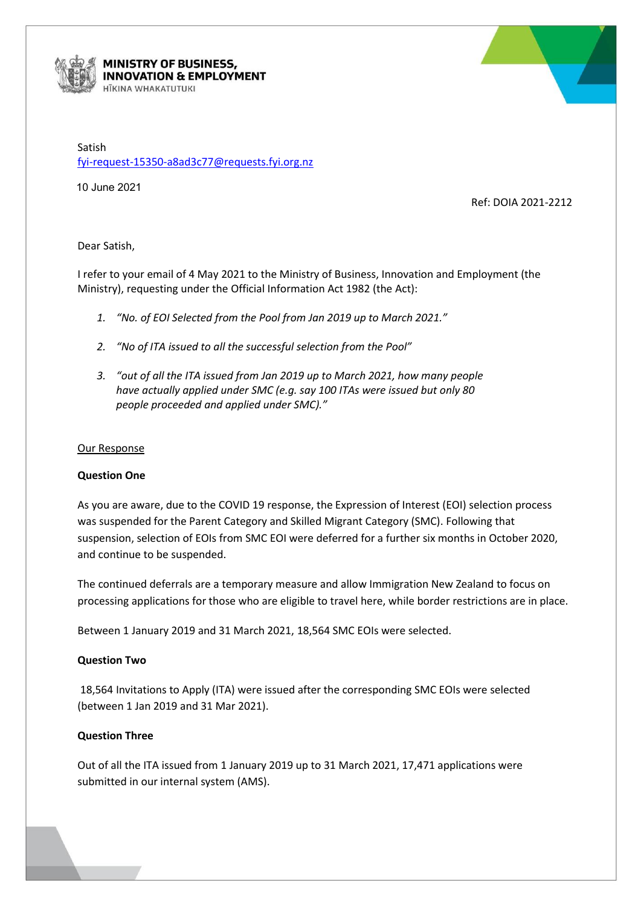

#### MINISTRY OF BUSINESS, **INNOVATION & EMPLOYMENT ITKINA WHAKATUTUKI**

Satish [fyi-request-15350-a8ad3c77@requests.fyi.org.nz](mailto:xxxxxxxxxxxxxxxxxxxxxxxxxx@xxxxxxxx.xxx.xxx.xx)

10 June 2021

Ref: DOIA 2021-2212

# Dear Satish,

I refer to your email of 4 May 2021 to the Ministry of Business, Innovation and Employment (the Ministry), requesting under the Official Information Act 1982 (the Act):

- *1. "No. of EOI Selected from the Pool from Jan 2019 up to March 2021."*
- *2. "No of ITA issued to all the successful selection from the Pool"*
- *3. "out of all the ITA issued from Jan 2019 up to March 2021, how many people have actually applied under SMC (e.g. say 100 ITAs were issued but only 80 people proceeded and applied under SMC)."*

### Our Response

### **Question One**

As you are aware, due to the COVID 19 response, the Expression of Interest (EOI) selection process was suspended for the Parent Category and Skilled Migrant Category (SMC). Following that suspension, selection of EOIs from SMC EOI were deferred for a further six months in October 2020, and continue to be suspended.

The continued deferrals are a temporary measure and allow Immigration New Zealand to focus on processing applications for those who are eligible to travel here, while border restrictions are in place.

Between 1 January 2019 and 31 March 2021, 18,564 SMC EOIs were selected.

# **Question Two**

18,564 Invitations to Apply (ITA) were issued after the corresponding SMC EOIs were selected (between 1 Jan 2019 and 31 Mar 2021).

# **Question Three**

Out of all the ITA issued from 1 January 2019 up to 31 March 2021, 17,471 applications were submitted in our internal system (AMS).